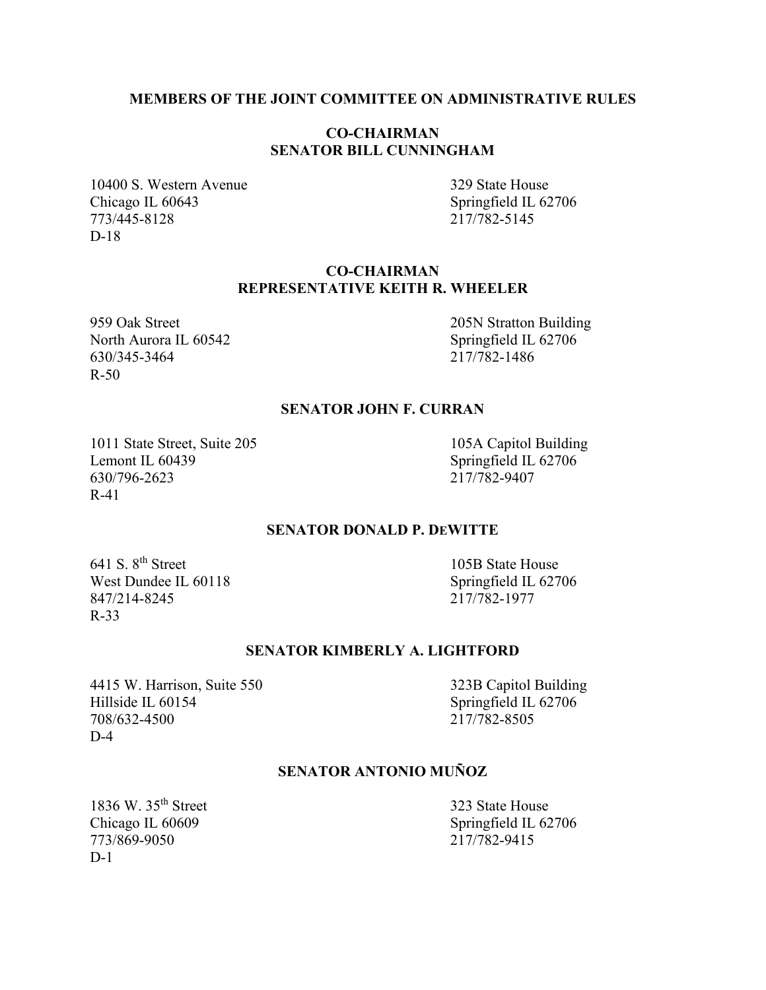### **MEMBERS OF THE JOINT COMMITTEE ON ADMINISTRATIVE RULES**

# **CO-CHAIRMAN SENATOR BILL CUNNINGHAM**

10400 S. Western Avenue 329 State House Chicago IL 60643 Springfield IL 62706 773/445-8128 217/782-5145 D-18

# **CO-CHAIRMAN REPRESENTATIVE KEITH R. WHEELER**

North Aurora IL 60542 Springfield IL 62706 630/345-3464 217/782-1486 R-50

959 Oak Street 205N Stratton Building

### **SENATOR JOHN F. CURRAN**

1011 State Street, Suite 205 105A Capitol Building<br>
Lemont IL 60439 Springfield IL 62706 630/796-2623 R-41

Springfield IL 62706<br>217/782-9407

### **SENATOR DONALD P. DEWITTE**

641 S. 8<sup>th</sup> Street 105B State House West Dundee IL 60118<br>847/214-8245<br>217/782-1977 847/214-8245 R-33

#### **SENATOR KIMBERLY A. LIGHTFORD**

4415 W. Harrison, Suite 550 323B Capitol Building Hillside IL 60154<br>
708/632-4500<br>
217/782-8505 708/632-4500 D-4

# **SENATOR ANTONIO MUÑOZ**

1836 W. 35<sup>th</sup> Street 323 State House 773/869-9050 217/782-9415  $D-1$ 

Chicago IL 60609 Springfield IL 62706